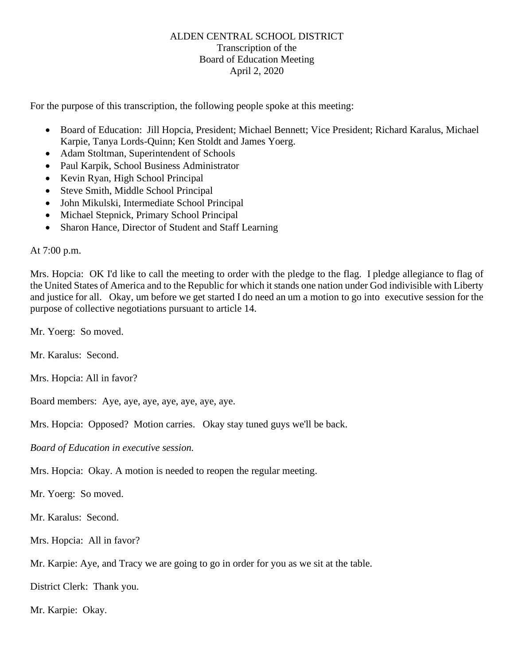## ALDEN CENTRAL SCHOOL DISTRICT Transcription of the Board of Education Meeting April 2, 2020

For the purpose of this transcription, the following people spoke at this meeting:

- Board of Education: Jill Hopcia, President; Michael Bennett; Vice President; Richard Karalus, Michael Karpie, Tanya Lords-Quinn; Ken Stoldt and James Yoerg.
- Adam Stoltman, Superintendent of Schools
- Paul Karpik, School Business Administrator
- Kevin Ryan, High School Principal
- Steve Smith, Middle School Principal
- John Mikulski, Intermediate School Principal
- Michael Stepnick, Primary School Principal
- Sharon Hance, Director of Student and Staff Learning

At 7:00 p.m.

Mrs. Hopcia: OK I'd like to call the meeting to order with the pledge to the flag. I pledge allegiance to flag of the United States of America and to the Republic for which it stands one nation under God indivisible with Liberty and justice for all. Okay, um before we get started I do need an um a motion to go into executive session for the purpose of collective negotiations pursuant to article 14.

Mr. Yoerg: So moved.

Mr. Karalus: Second.

Mrs. Hopcia: All in favor?

Board members: Aye, aye, aye, aye, aye, aye, aye.

Mrs. Hopcia: Opposed? Motion carries. Okay stay tuned guys we'll be back.

*Board of Education in executive session.*

Mrs. Hopcia: Okay. A motion is needed to reopen the regular meeting.

Mr. Yoerg: So moved.

Mr. Karalus: Second.

Mrs. Hopcia: All in favor?

Mr. Karpie: Aye, and Tracy we are going to go in order for you as we sit at the table.

District Clerk: Thank you.

Mr. Karpie: Okay.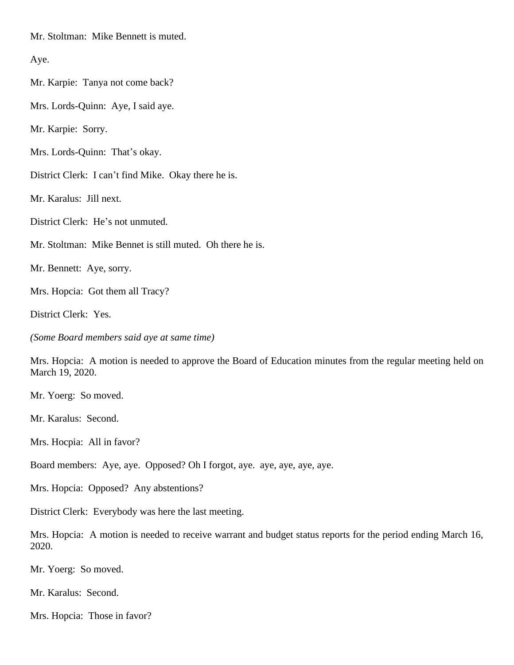Mr. Stoltman: Mike Bennett is muted.

Aye.

Mr. Karpie: Tanya not come back?

Mrs. Lords-Quinn: Aye, I said aye.

Mr. Karpie: Sorry.

Mrs. Lords-Quinn: That's okay.

District Clerk: I can't find Mike. Okay there he is.

Mr. Karalus: Jill next.

District Clerk: He's not unmuted.

Mr. Stoltman: Mike Bennet is still muted. Oh there he is.

Mr. Bennett: Aye, sorry.

Mrs. Hopcia: Got them all Tracy?

District Clerk: Yes.

*(Some Board members said aye at same time)*

Mrs. Hopcia: A motion is needed to approve the Board of Education minutes from the regular meeting held on March 19, 2020.

Mr. Yoerg: So moved.

Mr. Karalus: Second.

Mrs. Hocpia: All in favor?

Board members: Aye, aye. Opposed? Oh I forgot, aye. aye, aye, aye, aye.

Mrs. Hopcia: Opposed? Any abstentions?

District Clerk: Everybody was here the last meeting.

Mrs. Hopcia: A motion is needed to receive warrant and budget status reports for the period ending March 16, 2020.

Mr. Yoerg: So moved.

Mr. Karalus: Second.

Mrs. Hopcia: Those in favor?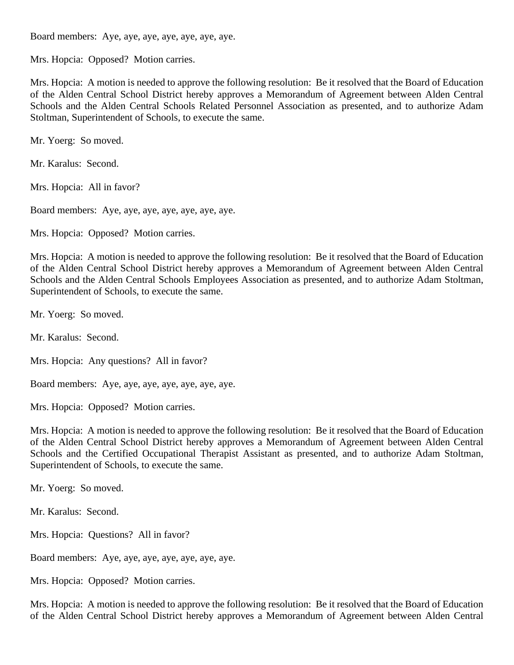Board members: Aye, aye, aye, aye, aye, aye, aye.

Mrs. Hopcia: Opposed? Motion carries.

Mrs. Hopcia: A motion is needed to approve the following resolution: Be it resolved that the Board of Education of the Alden Central School District hereby approves a Memorandum of Agreement between Alden Central Schools and the Alden Central Schools Related Personnel Association as presented, and to authorize Adam Stoltman, Superintendent of Schools, to execute the same.

Mr. Yoerg: So moved.

Mr. Karalus: Second.

Mrs. Hopcia: All in favor?

Board members: Aye, aye, aye, aye, aye, aye, aye.

Mrs. Hopcia: Opposed? Motion carries.

Mrs. Hopcia: A motion is needed to approve the following resolution: Be it resolved that the Board of Education of the Alden Central School District hereby approves a Memorandum of Agreement between Alden Central Schools and the Alden Central Schools Employees Association as presented, and to authorize Adam Stoltman, Superintendent of Schools, to execute the same.

Mr. Yoerg: So moved.

Mr. Karalus: Second.

Mrs. Hopcia: Any questions? All in favor?

Board members: Aye, aye, aye, aye, aye, aye, aye.

Mrs. Hopcia: Opposed? Motion carries.

Mrs. Hopcia: A motion is needed to approve the following resolution: Be it resolved that the Board of Education of the Alden Central School District hereby approves a Memorandum of Agreement between Alden Central Schools and the Certified Occupational Therapist Assistant as presented, and to authorize Adam Stoltman, Superintendent of Schools, to execute the same.

Mr. Yoerg: So moved.

Mr. Karalus: Second.

Mrs. Hopcia: Questions? All in favor?

Board members: Aye, aye, aye, aye, aye, aye, aye.

Mrs. Hopcia: Opposed? Motion carries.

Mrs. Hopcia: A motion is needed to approve the following resolution: Be it resolved that the Board of Education of the Alden Central School District hereby approves a Memorandum of Agreement between Alden Central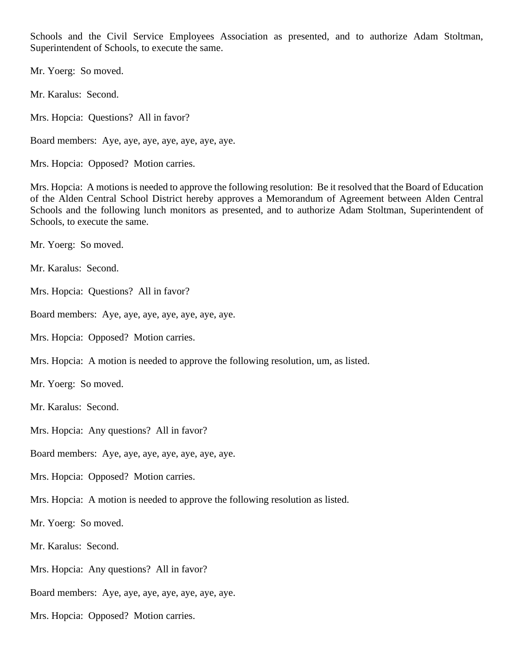Schools and the Civil Service Employees Association as presented, and to authorize Adam Stoltman, Superintendent of Schools, to execute the same.

Mr. Yoerg: So moved.

Mr. Karalus: Second.

Mrs. Hopcia: Questions? All in favor?

Board members: Aye, aye, aye, aye, aye, aye, aye.

Mrs. Hopcia: Opposed? Motion carries.

Mrs. Hopcia: A motions is needed to approve the following resolution: Be it resolved that the Board of Education of the Alden Central School District hereby approves a Memorandum of Agreement between Alden Central Schools and the following lunch monitors as presented, and to authorize Adam Stoltman, Superintendent of Schools, to execute the same.

Mr. Yoerg: So moved.

Mr. Karalus: Second.

Mrs. Hopcia: Questions? All in favor?

Board members: Aye, aye, aye, aye, aye, aye, aye.

Mrs. Hopcia: Opposed? Motion carries.

Mrs. Hopcia: A motion is needed to approve the following resolution, um, as listed.

Mr. Yoerg: So moved.

Mr. Karalus: Second.

Mrs. Hopcia: Any questions? All in favor?

Board members: Aye, aye, aye, aye, aye, aye, aye.

Mrs. Hopcia: Opposed? Motion carries.

Mrs. Hopcia: A motion is needed to approve the following resolution as listed.

Mr. Yoerg: So moved.

Mr. Karalus: Second.

Mrs. Hopcia: Any questions? All in favor?

Board members: Aye, aye, aye, aye, aye, aye, aye.

Mrs. Hopcia: Opposed? Motion carries.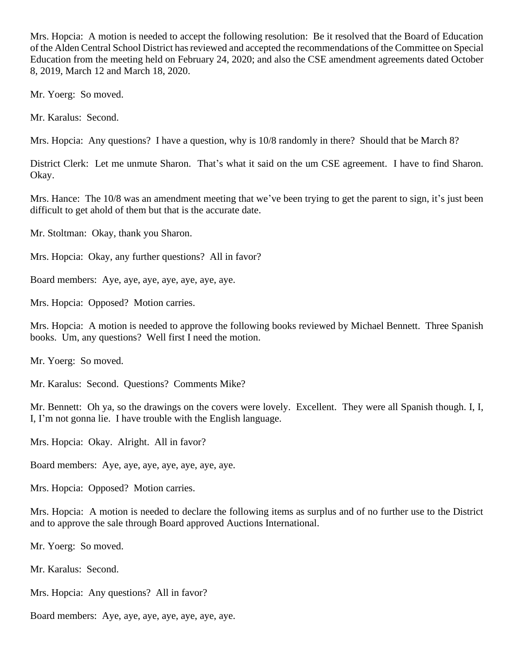Mrs. Hopcia: A motion is needed to accept the following resolution: Be it resolved that the Board of Education of the Alden Central School District has reviewed and accepted the recommendations of the Committee on Special Education from the meeting held on February 24, 2020; and also the CSE amendment agreements dated October 8, 2019, March 12 and March 18, 2020.

Mr. Yoerg: So moved.

Mr. Karalus: Second.

Mrs. Hopcia: Any questions? I have a question, why is 10/8 randomly in there? Should that be March 8?

District Clerk: Let me unmute Sharon. That's what it said on the um CSE agreement. I have to find Sharon. Okay.

Mrs. Hance: The 10/8 was an amendment meeting that we've been trying to get the parent to sign, it's just been difficult to get ahold of them but that is the accurate date.

Mr. Stoltman: Okay, thank you Sharon.

Mrs. Hopcia: Okay, any further questions? All in favor?

Board members: Aye, aye, aye, aye, aye, aye, aye.

Mrs. Hopcia: Opposed? Motion carries.

Mrs. Hopcia: A motion is needed to approve the following books reviewed by Michael Bennett. Three Spanish books. Um, any questions? Well first I need the motion.

Mr. Yoerg: So moved.

Mr. Karalus: Second. Questions? Comments Mike?

Mr. Bennett: Oh ya, so the drawings on the covers were lovely. Excellent. They were all Spanish though. I, I, I, I'm not gonna lie. I have trouble with the English language.

Mrs. Hopcia: Okay. Alright. All in favor?

Board members: Aye, aye, aye, aye, aye, aye, aye.

Mrs. Hopcia: Opposed? Motion carries.

Mrs. Hopcia: A motion is needed to declare the following items as surplus and of no further use to the District and to approve the sale through Board approved Auctions International.

Mr. Yoerg: So moved.

Mr. Karalus: Second.

Mrs. Hopcia: Any questions? All in favor?

Board members: Aye, aye, aye, aye, aye, aye, aye.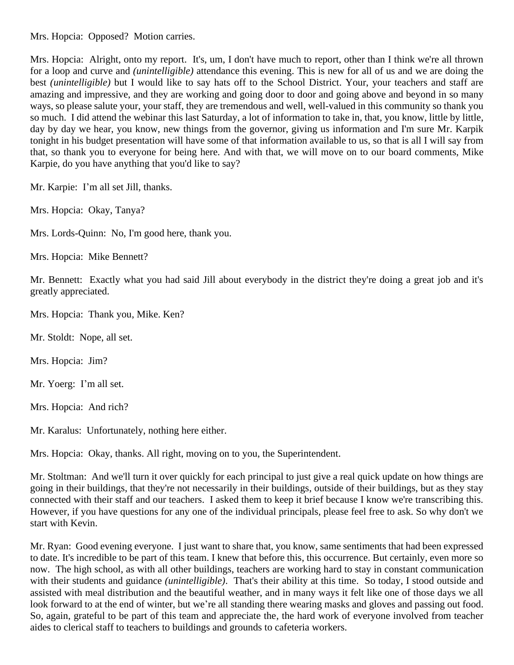Mrs. Hopcia: Opposed? Motion carries.

Mrs. Hopcia: Alright, onto my report. It's, um, I don't have much to report, other than I think we're all thrown for a loop and curve and *(unintelligible)* attendance this evening. This is new for all of us and we are doing the best *(unintelligible)* but I would like to say hats off to the School District. Your, your teachers and staff are amazing and impressive, and they are working and going door to door and going above and beyond in so many ways, so please salute your, your staff, they are tremendous and well, well-valued in this community so thank you so much. I did attend the webinar this last Saturday, a lot of information to take in, that, you know, little by little, day by day we hear, you know, new things from the governor, giving us information and I'm sure Mr. Karpik tonight in his budget presentation will have some of that information available to us, so that is all I will say from that, so thank you to everyone for being here. And with that, we will move on to our board comments, Mike Karpie, do you have anything that you'd like to say?

Mr. Karpie: I'm all set Jill, thanks.

Mrs. Hopcia: Okay, Tanya?

Mrs. Lords-Quinn: No, I'm good here, thank you.

Mrs. Hopcia: Mike Bennett?

Mr. Bennett: Exactly what you had said Jill about everybody in the district they're doing a great job and it's greatly appreciated.

Mrs. Hopcia: Thank you, Mike. Ken?

Mr. Stoldt: Nope, all set.

Mrs. Hopcia: Jim?

Mr. Yoerg: I'm all set.

Mrs. Hopcia: And rich?

Mr. Karalus: Unfortunately, nothing here either.

Mrs. Hopcia: Okay, thanks. All right, moving on to you, the Superintendent.

Mr. Stoltman: And we'll turn it over quickly for each principal to just give a real quick update on how things are going in their buildings, that they're not necessarily in their buildings, outside of their buildings, but as they stay connected with their staff and our teachers. I asked them to keep it brief because I know we're transcribing this. However, if you have questions for any one of the individual principals, please feel free to ask. So why don't we start with Kevin.

Mr. Ryan: Good evening everyone. I just want to share that, you know, same sentiments that had been expressed to date. It's incredible to be part of this team. I knew that before this, this occurrence. But certainly, even more so now. The high school, as with all other buildings, teachers are working hard to stay in constant communication with their students and guidance *(unintelligible)*. That's their ability at this time. So today, I stood outside and assisted with meal distribution and the beautiful weather, and in many ways it felt like one of those days we all look forward to at the end of winter, but we're all standing there wearing masks and gloves and passing out food. So, again, grateful to be part of this team and appreciate the, the hard work of everyone involved from teacher aides to clerical staff to teachers to buildings and grounds to cafeteria workers.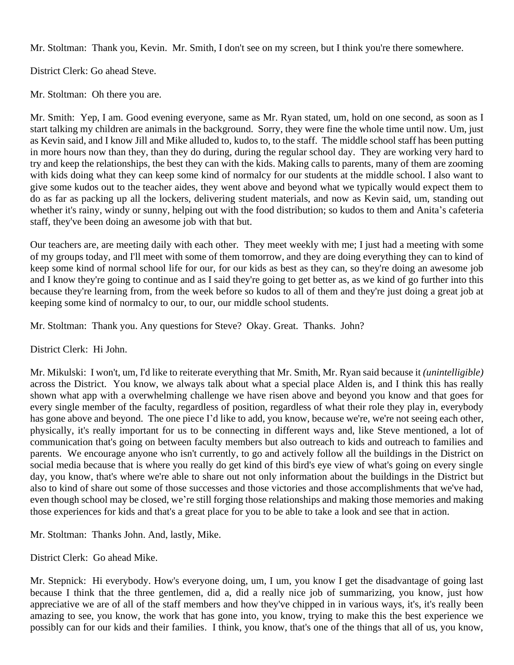Mr. Stoltman: Thank you, Kevin. Mr. Smith, I don't see on my screen, but I think you're there somewhere.

District Clerk: Go ahead Steve.

Mr. Stoltman: Oh there you are.

Mr. Smith: Yep, I am. Good evening everyone, same as Mr. Ryan stated, um, hold on one second, as soon as I start talking my children are animals in the background. Sorry, they were fine the whole time until now. Um, just as Kevin said, and I know Jill and Mike alluded to, kudos to, to the staff. The middle school staff has been putting in more hours now than they, than they do during, during the regular school day. They are working very hard to try and keep the relationships, the best they can with the kids. Making calls to parents, many of them are zooming with kids doing what they can keep some kind of normalcy for our students at the middle school. I also want to give some kudos out to the teacher aides, they went above and beyond what we typically would expect them to do as far as packing up all the lockers, delivering student materials, and now as Kevin said, um, standing out whether it's rainy, windy or sunny, helping out with the food distribution; so kudos to them and Anita's cafeteria staff, they've been doing an awesome job with that but.

Our teachers are, are meeting daily with each other. They meet weekly with me; I just had a meeting with some of my groups today, and I'll meet with some of them tomorrow, and they are doing everything they can to kind of keep some kind of normal school life for our, for our kids as best as they can, so they're doing an awesome job and I know they're going to continue and as I said they're going to get better as, as we kind of go further into this because they're learning from, from the week before so kudos to all of them and they're just doing a great job at keeping some kind of normalcy to our, to our, our middle school students.

Mr. Stoltman: Thank you. Any questions for Steve? Okay. Great. Thanks. John?

District Clerk: Hi John.

Mr. Mikulski: I won't, um, I'd like to reiterate everything that Mr. Smith, Mr. Ryan said because it *(unintelligible)* across the District. You know, we always talk about what a special place Alden is, and I think this has really shown what app with a overwhelming challenge we have risen above and beyond you know and that goes for every single member of the faculty, regardless of position, regardless of what their role they play in, everybody has gone above and beyond. The one piece I'd like to add, you know, because we're, we're not seeing each other, physically, it's really important for us to be connecting in different ways and, like Steve mentioned, a lot of communication that's going on between faculty members but also outreach to kids and outreach to families and parents. We encourage anyone who isn't currently, to go and actively follow all the buildings in the District on social media because that is where you really do get kind of this bird's eye view of what's going on every single day, you know, that's where we're able to share out not only information about the buildings in the District but also to kind of share out some of those successes and those victories and those accomplishments that we've had, even though school may be closed, we're still forging those relationships and making those memories and making those experiences for kids and that's a great place for you to be able to take a look and see that in action.

Mr. Stoltman: Thanks John. And, lastly, Mike.

District Clerk: Go ahead Mike.

Mr. Stepnick: Hi everybody. How's everyone doing, um, I um, you know I get the disadvantage of going last because I think that the three gentlemen, did a, did a really nice job of summarizing, you know, just how appreciative we are of all of the staff members and how they've chipped in in various ways, it's, it's really been amazing to see, you know, the work that has gone into, you know, trying to make this the best experience we possibly can for our kids and their families. I think, you know, that's one of the things that all of us, you know,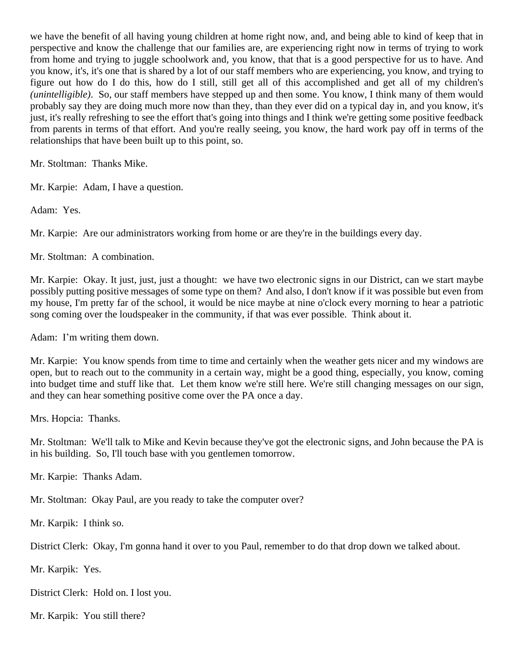we have the benefit of all having young children at home right now, and, and being able to kind of keep that in perspective and know the challenge that our families are, are experiencing right now in terms of trying to work from home and trying to juggle schoolwork and, you know, that that is a good perspective for us to have. And you know, it's, it's one that is shared by a lot of our staff members who are experiencing, you know, and trying to figure out how do I do this, how do I still, still get all of this accomplished and get all of my children's *(unintelligible)*. So, our staff members have stepped up and then some. You know, I think many of them would probably say they are doing much more now than they, than they ever did on a typical day in, and you know, it's just, it's really refreshing to see the effort that's going into things and I think we're getting some positive feedback from parents in terms of that effort. And you're really seeing, you know, the hard work pay off in terms of the relationships that have been built up to this point, so.

Mr. Stoltman: Thanks Mike.

Mr. Karpie: Adam, I have a question.

Adam: Yes.

Mr. Karpie: Are our administrators working from home or are they're in the buildings every day.

Mr. Stoltman: A combination.

Mr. Karpie: Okay. It just, just, just a thought: we have two electronic signs in our District, can we start maybe possibly putting positive messages of some type on them? And also, I don't know if it was possible but even from my house, I'm pretty far of the school, it would be nice maybe at nine o'clock every morning to hear a patriotic song coming over the loudspeaker in the community, if that was ever possible. Think about it.

Adam: I'm writing them down.

Mr. Karpie: You know spends from time to time and certainly when the weather gets nicer and my windows are open, but to reach out to the community in a certain way, might be a good thing, especially, you know, coming into budget time and stuff like that. Let them know we're still here. We're still changing messages on our sign, and they can hear something positive come over the PA once a day.

Mrs. Hopcia: Thanks.

Mr. Stoltman: We'll talk to Mike and Kevin because they've got the electronic signs, and John because the PA is in his building. So, I'll touch base with you gentlemen tomorrow.

Mr. Karpie: Thanks Adam.

Mr. Stoltman: Okay Paul, are you ready to take the computer over?

Mr. Karpik: I think so.

District Clerk: Okay, I'm gonna hand it over to you Paul, remember to do that drop down we talked about.

Mr. Karpik: Yes.

District Clerk: Hold on. I lost you.

Mr. Karpik: You still there?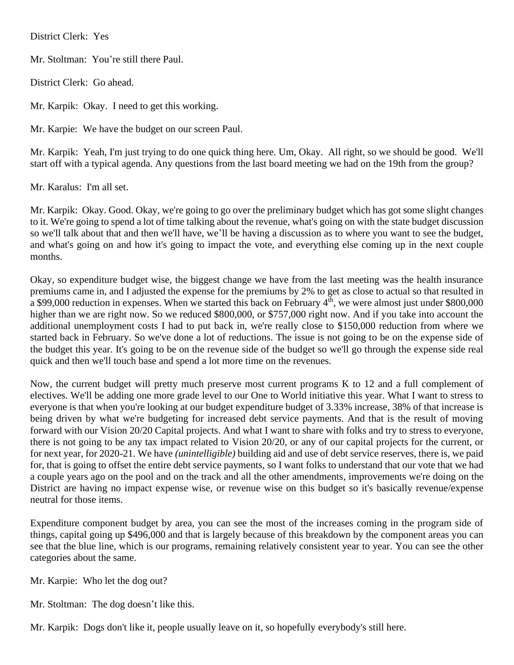District Clerk: Yes

Mr. Stoltman: You're still there Paul.

District Clerk: Go ahead.

Mr. Karpik: Okay. I need to get this working.

Mr. Karpie: We have the budget on our screen Paul.

Mr. Karpik: Yeah, I'm just trying to do one quick thing here. Um, Okay. All right, so we should be good. We'll start off with a typical agenda. Any questions from the last board meeting we had on the 19th from the group?

Mr. Karalus: I'm all set.

Mr. Karpik: Okay. Good. Okay, we're going to go over the preliminary budget which has got some slight changes to it. We're going to spend a lot of time talking about the revenue, what's going on with the state budget discussion so we'll talk about that and then we'll have, we'll be having a discussion as to where you want to see the budget, and what's going on and how it's going to impact the vote, and everything else coming up in the next couple months.

Okay, so expenditure budget wise, the biggest change we have from the last meeting was the health insurance premiums came in, and I adjusted the expense for the premiums by 2% to get as close to actual so that resulted in a \$99,000 reduction in expenses. When we started this back on February 4<sup>th</sup>, we were almost just under \$800,000 higher than we are right now. So we reduced \$800,000, or \$757,000 right now. And if you take into account the additional unemployment costs I had to put back in, we're really close to \$150,000 reduction from where we started back in February. So we've done a lot of reductions. The issue is not going to be on the expense side of the budget this year. It's going to be on the revenue side of the budget so we'll go through the expense side real quick and then we'll touch base and spend a lot more time on the revenues.

Now, the current budget will pretty much preserve most current programs K to 12 and a full complement of electives. We'll be adding one more grade level to our One to World initiative this year. What I want to stress to everyone is that when you're looking at our budget expenditure budget of 3.33% increase, 38% of that increase is being driven by what we're budgeting for increased debt service payments. And that is the result of moving forward with our Vision 20/20 Capital projects. And what I want to share with folks and try to stress to everyone, there is not going to be any tax impact related to Vision 20/20, or any of our capital projects for the current, or for next year, for 2020-21. We have *(unintelligible)* building aid and use of debt service reserves, there is, we paid for, that is going to offset the entire debt service payments, so I want folks to understand that our vote that we had a couple years ago on the pool and on the track and all the other amendments, improvements we're doing on the District are having no impact expense wise, or revenue wise on this budget so it's basically revenue/expense neutral for those items.

Expenditure component budget by area, you can see the most of the increases coming in the program side of things, capital going up \$496,000 and that is largely because of this breakdown by the component areas you can see that the blue line, which is our programs, remaining relatively consistent year to year. You can see the other categories about the same.

Mr. Karpie: Who let the dog out?

Mr. Stoltman: The dog doesn't like this.

Mr. Karpik: Dogs don't like it, people usually leave on it, so hopefully everybody's still here.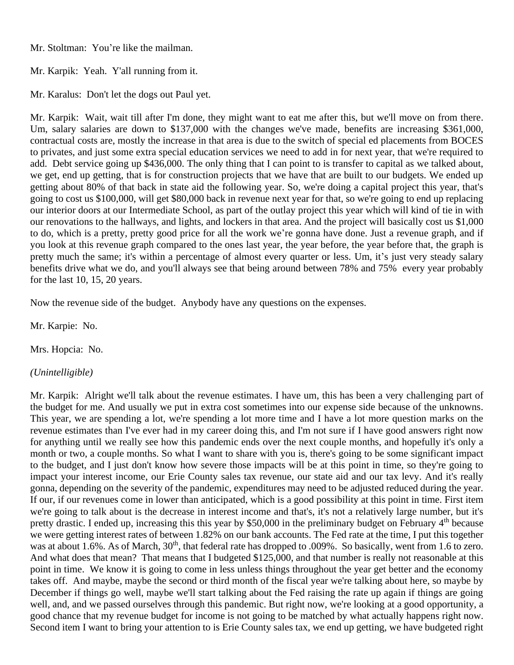Mr. Stoltman: You're like the mailman.

Mr. Karpik: Yeah. Y'all running from it.

Mr. Karalus: Don't let the dogs out Paul yet.

Mr. Karpik: Wait, wait till after I'm done, they might want to eat me after this, but we'll move on from there. Um, salary salaries are down to \$137,000 with the changes we've made, benefits are increasing \$361,000, contractual costs are, mostly the increase in that area is due to the switch of special ed placements from BOCES to privates, and just some extra special education services we need to add in for next year, that we're required to add. Debt service going up \$436,000. The only thing that I can point to is transfer to capital as we talked about, we get, end up getting, that is for construction projects that we have that are built to our budgets. We ended up getting about 80% of that back in state aid the following year. So, we're doing a capital project this year, that's going to cost us \$100,000, will get \$80,000 back in revenue next year for that, so we're going to end up replacing our interior doors at our Intermediate School, as part of the outlay project this year which will kind of tie in with our renovations to the hallways, and lights, and lockers in that area. And the project will basically cost us \$1,000 to do, which is a pretty, pretty good price for all the work we're gonna have done. Just a revenue graph, and if you look at this revenue graph compared to the ones last year, the year before, the year before that, the graph is pretty much the same; it's within a percentage of almost every quarter or less. Um, it's just very steady salary benefits drive what we do, and you'll always see that being around between 78% and 75% every year probably for the last 10, 15, 20 years.

Now the revenue side of the budget. Anybody have any questions on the expenses.

Mr. Karpie: No.

Mrs. Hopcia: No.

*(Unintelligible)*

Mr. Karpik: Alright we'll talk about the revenue estimates. I have um, this has been a very challenging part of the budget for me. And usually we put in extra cost sometimes into our expense side because of the unknowns. This year, we are spending a lot, we're spending a lot more time and I have a lot more question marks on the revenue estimates than I've ever had in my career doing this, and I'm not sure if I have good answers right now for anything until we really see how this pandemic ends over the next couple months, and hopefully it's only a month or two, a couple months. So what I want to share with you is, there's going to be some significant impact to the budget, and I just don't know how severe those impacts will be at this point in time, so they're going to impact your interest income, our Erie County sales tax revenue, our state aid and our tax levy. And it's really gonna, depending on the severity of the pandemic, expenditures may need to be adjusted reduced during the year. If our, if our revenues come in lower than anticipated, which is a good possibility at this point in time. First item we're going to talk about is the decrease in interest income and that's, it's not a relatively large number, but it's pretty drastic. I ended up, increasing this this year by \$50,000 in the preliminary budget on February 4<sup>th</sup> because we were getting interest rates of between 1.82% on our bank accounts. The Fed rate at the time, I put this together was at about 1.6%. As of March,  $30<sup>th</sup>$ , that federal rate has dropped to .009%. So basically, went from 1.6 to zero. And what does that mean? That means that I budgeted \$125,000, and that number is really not reasonable at this point in time. We know it is going to come in less unless things throughout the year get better and the economy takes off. And maybe, maybe the second or third month of the fiscal year we're talking about here, so maybe by December if things go well, maybe we'll start talking about the Fed raising the rate up again if things are going well, and, and we passed ourselves through this pandemic. But right now, we're looking at a good opportunity, a good chance that my revenue budget for income is not going to be matched by what actually happens right now. Second item I want to bring your attention to is Erie County sales tax, we end up getting, we have budgeted right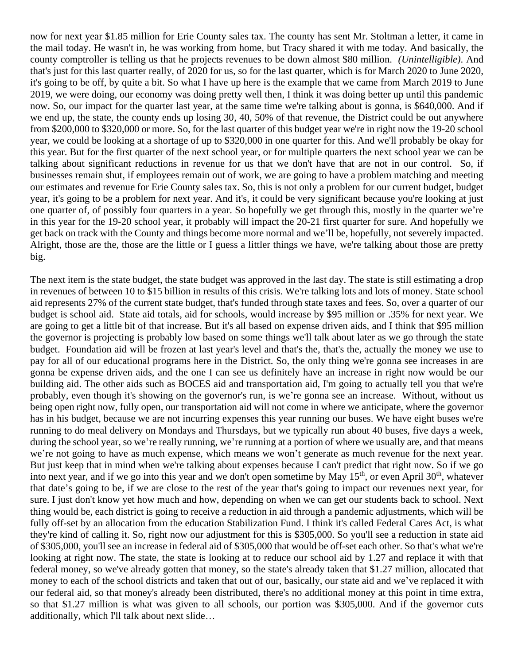now for next year \$1.85 million for Erie County sales tax. The county has sent Mr. Stoltman a letter, it came in the mail today. He wasn't in, he was working from home, but Tracy shared it with me today. And basically, the county comptroller is telling us that he projects revenues to be down almost \$80 million. *(Unintelligible)*. And that's just for this last quarter really, of 2020 for us, so for the last quarter, which is for March 2020 to June 2020, it's going to be off, by quite a bit. So what I have up here is the example that we came from March 2019 to June 2019, we were doing, our economy was doing pretty well then, I think it was doing better up until this pandemic now. So, our impact for the quarter last year, at the same time we're talking about is gonna, is \$640,000. And if we end up, the state, the county ends up losing 30, 40, 50% of that revenue, the District could be out anywhere from \$200,000 to \$320,000 or more. So, for the last quarter of this budget year we're in right now the 19-20 school year, we could be looking at a shortage of up to \$320,000 in one quarter for this. And we'll probably be okay for this year. But for the first quarter of the next school year, or for multiple quarters the next school year we can be talking about significant reductions in revenue for us that we don't have that are not in our control. So, if businesses remain shut, if employees remain out of work, we are going to have a problem matching and meeting our estimates and revenue for Erie County sales tax. So, this is not only a problem for our current budget, budget year, it's going to be a problem for next year. And it's, it could be very significant because you're looking at just one quarter of, of possibly four quarters in a year. So hopefully we get through this, mostly in the quarter we're in this year for the 19-20 school year, it probably will impact the 20-21 first quarter for sure. And hopefully we get back on track with the County and things become more normal and we'll be, hopefully, not severely impacted. Alright, those are the, those are the little or I guess a littler things we have, we're talking about those are pretty big.

The next item is the state budget, the state budget was approved in the last day. The state is still estimating a drop in revenues of between 10 to \$15 billion in results of this crisis. We're talking lots and lots of money. State school aid represents 27% of the current state budget, that's funded through state taxes and fees. So, over a quarter of our budget is school aid. State aid totals, aid for schools, would increase by \$95 million or .35% for next year. We are going to get a little bit of that increase. But it's all based on expense driven aids, and I think that \$95 million the governor is projecting is probably low based on some things we'll talk about later as we go through the state budget. Foundation aid will be frozen at last year's level and that's the, that's the, actually the money we use to pay for all of our educational programs here in the District. So, the only thing we're gonna see increases in are gonna be expense driven aids, and the one I can see us definitely have an increase in right now would be our building aid. The other aids such as BOCES aid and transportation aid, I'm going to actually tell you that we're probably, even though it's showing on the governor's run, is we're gonna see an increase. Without, without us being open right now, fully open, our transportation aid will not come in where we anticipate, where the governor has in his budget, because we are not incurring expenses this year running our buses. We have eight buses we're running to do meal delivery on Mondays and Thursdays, but we typically run about 40 buses, five days a week, during the school year, so we're really running, we're running at a portion of where we usually are, and that means we're not going to have as much expense, which means we won't generate as much revenue for the next year. But just keep that in mind when we're talking about expenses because I can't predict that right now. So if we go into next year, and if we go into this year and we don't open sometime by May 15<sup>th</sup>, or even April 30<sup>th</sup>, whatever that date's going to be, if we are close to the rest of the year that's going to impact our revenues next year, for sure. I just don't know yet how much and how, depending on when we can get our students back to school. Next thing would be, each district is going to receive a reduction in aid through a pandemic adjustments, which will be fully off-set by an allocation from the education Stabilization Fund. I think it's called Federal Cares Act, is what they're kind of calling it. So, right now our adjustment for this is \$305,000. So you'll see a reduction in state aid of \$305,000, you'll see an increase in federal aid of \$305,000 that would be off-set each other. So that's what we're looking at right now. The state, the state is looking at to reduce our school aid by 1.27 and replace it with that federal money, so we've already gotten that money, so the state's already taken that \$1.27 million, allocated that money to each of the school districts and taken that out of our, basically, our state aid and we've replaced it with our federal aid, so that money's already been distributed, there's no additional money at this point in time extra, so that \$1.27 million is what was given to all schools, our portion was \$305,000. And if the governor cuts additionally, which I'll talk about next slide…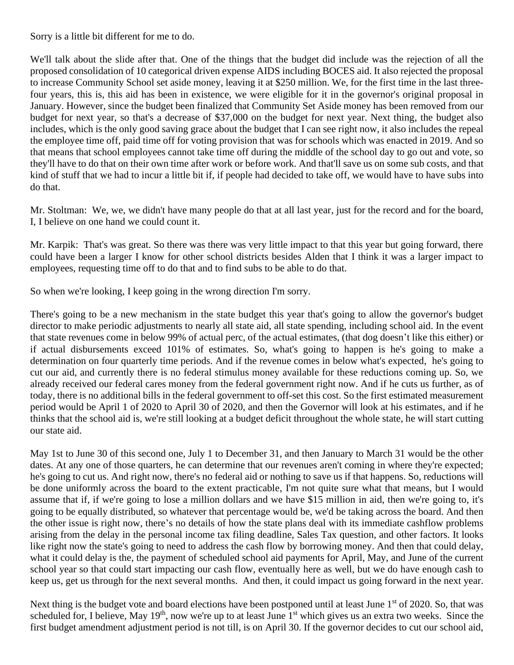Sorry is a little bit different for me to do.

We'll talk about the slide after that. One of the things that the budget did include was the rejection of all the proposed consolidation of 10 categorical driven expense AIDS including BOCES aid. It also rejected the proposal to increase Community School set aside money, leaving it at \$250 million. We, for the first time in the last threefour years, this is, this aid has been in existence, we were eligible for it in the governor's original proposal in January. However, since the budget been finalized that Community Set Aside money has been removed from our budget for next year, so that's a decrease of \$37,000 on the budget for next year. Next thing, the budget also includes, which is the only good saving grace about the budget that I can see right now, it also includes the repeal the employee time off, paid time off for voting provision that was for schools which was enacted in 2019. And so that means that school employees cannot take time off during the middle of the school day to go out and vote, so they'll have to do that on their own time after work or before work. And that'll save us on some sub costs, and that kind of stuff that we had to incur a little bit if, if people had decided to take off, we would have to have subs into do that.

Mr. Stoltman: We, we, we didn't have many people do that at all last year, just for the record and for the board, I, I believe on one hand we could count it.

Mr. Karpik: That's was great. So there was there was very little impact to that this year but going forward, there could have been a larger I know for other school districts besides Alden that I think it was a larger impact to employees, requesting time off to do that and to find subs to be able to do that.

So when we're looking, I keep going in the wrong direction I'm sorry.

There's going to be a new mechanism in the state budget this year that's going to allow the governor's budget director to make periodic adjustments to nearly all state aid, all state spending, including school aid. In the event that state revenues come in below 99% of actual perc, of the actual estimates, (that dog doesn't like this either) or if actual disbursements exceed 101% of estimates. So, what's going to happen is he's going to make a determination on four quarterly time periods. And if the revenue comes in below what's expected, he's going to cut our aid, and currently there is no federal stimulus money available for these reductions coming up. So, we already received our federal cares money from the federal government right now. And if he cuts us further, as of today, there is no additional bills in the federal government to off-set this cost. So the first estimated measurement period would be April 1 of 2020 to April 30 of 2020, and then the Governor will look at his estimates, and if he thinks that the school aid is, we're still looking at a budget deficit throughout the whole state, he will start cutting our state aid.

May 1st to June 30 of this second one, July 1 to December 31, and then January to March 31 would be the other dates. At any one of those quarters, he can determine that our revenues aren't coming in where they're expected; he's going to cut us. And right now, there's no federal aid or nothing to save us if that happens. So, reductions will be done uniformly across the board to the extent practicable, I'm not quite sure what that means, but I would assume that if, if we're going to lose a million dollars and we have \$15 million in aid, then we're going to, it's going to be equally distributed, so whatever that percentage would be, we'd be taking across the board. And then the other issue is right now, there's no details of how the state plans deal with its immediate cashflow problems arising from the delay in the personal income tax filing deadline, Sales Tax question, and other factors. It looks like right now the state's going to need to address the cash flow by borrowing money. And then that could delay, what it could delay is the, the payment of scheduled school aid payments for April, May, and June of the current school year so that could start impacting our cash flow, eventually here as well, but we do have enough cash to keep us, get us through for the next several months. And then, it could impact us going forward in the next year.

Next thing is the budget vote and board elections have been postponed until at least June 1<sup>st</sup> of 2020. So, that was scheduled for, I believe, May  $19<sup>th</sup>$ , now we're up to at least June  $1<sup>st</sup>$  which gives us an extra two weeks. Since the first budget amendment adjustment period is not till, is on April 30. If the governor decides to cut our school aid,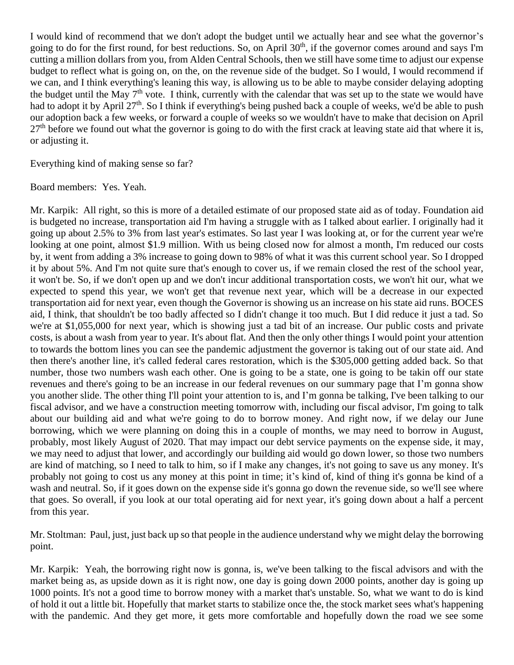I would kind of recommend that we don't adopt the budget until we actually hear and see what the governor's going to do for the first round, for best reductions. So, on April  $30<sup>th</sup>$ , if the governor comes around and says I'm cutting a million dollars from you, from Alden Central Schools, then we still have some time to adjust our expense budget to reflect what is going on, on the, on the revenue side of the budget. So I would, I would recommend if we can, and I think everything's leaning this way, is allowing us to be able to maybe consider delaying adopting the budget until the May  $7<sup>th</sup>$  vote. I think, currently with the calendar that was set up to the state we would have had to adopt it by April 27<sup>th</sup>. So I think if everything's being pushed back a couple of weeks, we'd be able to push our adoption back a few weeks, or forward a couple of weeks so we wouldn't have to make that decision on April  $27<sup>th</sup>$  before we found out what the governor is going to do with the first crack at leaving state aid that where it is, or adjusting it.

Everything kind of making sense so far?

Board members: Yes. Yeah.

Mr. Karpik: All right, so this is more of a detailed estimate of our proposed state aid as of today. Foundation aid is budgeted no increase, transportation aid I'm having a struggle with as I talked about earlier. I originally had it going up about 2.5% to 3% from last year's estimates. So last year I was looking at, or for the current year we're looking at one point, almost \$1.9 million. With us being closed now for almost a month, I'm reduced our costs by, it went from adding a 3% increase to going down to 98% of what it was this current school year. So I dropped it by about 5%. And I'm not quite sure that's enough to cover us, if we remain closed the rest of the school year, it won't be. So, if we don't open up and we don't incur additional transportation costs, we won't hit our, what we expected to spend this year, we won't get that revenue next year, which will be a decrease in our expected transportation aid for next year, even though the Governor is showing us an increase on his state aid runs. BOCES aid, I think, that shouldn't be too badly affected so I didn't change it too much. But I did reduce it just a tad. So we're at \$1,055,000 for next year, which is showing just a tad bit of an increase. Our public costs and private costs, is about a wash from year to year. It's about flat. And then the only other things I would point your attention to towards the bottom lines you can see the pandemic adjustment the governor is taking out of our state aid. And then there's another line, it's called federal cares restoration, which is the \$305,000 getting added back. So that number, those two numbers wash each other. One is going to be a state, one is going to be takin off our state revenues and there's going to be an increase in our federal revenues on our summary page that I'm gonna show you another slide. The other thing I'll point your attention to is, and I'm gonna be talking, I've been talking to our fiscal advisor, and we have a construction meeting tomorrow with, including our fiscal advisor, I'm going to talk about our building aid and what we're going to do to borrow money. And right now, if we delay our June borrowing, which we were planning on doing this in a couple of months, we may need to borrow in August, probably, most likely August of 2020. That may impact our debt service payments on the expense side, it may, we may need to adjust that lower, and accordingly our building aid would go down lower, so those two numbers are kind of matching, so I need to talk to him, so if I make any changes, it's not going to save us any money. It's probably not going to cost us any money at this point in time; it's kind of, kind of thing it's gonna be kind of a wash and neutral. So, if it goes down on the expense side it's gonna go down the revenue side, so we'll see where that goes. So overall, if you look at our total operating aid for next year, it's going down about a half a percent from this year.

Mr. Stoltman: Paul, just, just back up so that people in the audience understand why we might delay the borrowing point.

Mr. Karpik: Yeah, the borrowing right now is gonna, is, we've been talking to the fiscal advisors and with the market being as, as upside down as it is right now, one day is going down 2000 points, another day is going up 1000 points. It's not a good time to borrow money with a market that's unstable. So, what we want to do is kind of hold it out a little bit. Hopefully that market starts to stabilize once the, the stock market sees what's happening with the pandemic. And they get more, it gets more comfortable and hopefully down the road we see some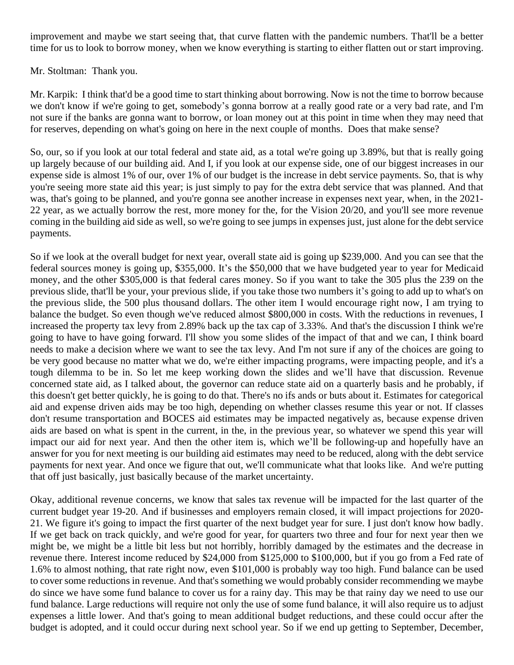improvement and maybe we start seeing that, that curve flatten with the pandemic numbers. That'll be a better time for us to look to borrow money, when we know everything is starting to either flatten out or start improving.

Mr. Stoltman: Thank you.

Mr. Karpik: I think that'd be a good time to start thinking about borrowing. Now is not the time to borrow because we don't know if we're going to get, somebody's gonna borrow at a really good rate or a very bad rate, and I'm not sure if the banks are gonna want to borrow, or loan money out at this point in time when they may need that for reserves, depending on what's going on here in the next couple of months. Does that make sense?

So, our, so if you look at our total federal and state aid, as a total we're going up 3.89%, but that is really going up largely because of our building aid. And I, if you look at our expense side, one of our biggest increases in our expense side is almost 1% of our, over 1% of our budget is the increase in debt service payments. So, that is why you're seeing more state aid this year; is just simply to pay for the extra debt service that was planned. And that was, that's going to be planned, and you're gonna see another increase in expenses next year, when, in the 2021-22 year, as we actually borrow the rest, more money for the, for the Vision 20/20, and you'll see more revenue coming in the building aid side as well, so we're going to see jumps in expenses just, just alone for the debt service payments.

So if we look at the overall budget for next year, overall state aid is going up \$239,000. And you can see that the federal sources money is going up, \$355,000. It's the \$50,000 that we have budgeted year to year for Medicaid money, and the other \$305,000 is that federal cares money. So if you want to take the 305 plus the 239 on the previous slide, that'll be your, your previous slide, if you take those two numbers it's going to add up to what's on the previous slide, the 500 plus thousand dollars. The other item I would encourage right now, I am trying to balance the budget. So even though we've reduced almost \$800,000 in costs. With the reductions in revenues, I increased the property tax levy from 2.89% back up the tax cap of 3.33%. And that's the discussion I think we're going to have to have going forward. I'll show you some slides of the impact of that and we can, I think board needs to make a decision where we want to see the tax levy. And I'm not sure if any of the choices are going to be very good because no matter what we do, we're either impacting programs, were impacting people, and it's a tough dilemma to be in. So let me keep working down the slides and we'll have that discussion. Revenue concerned state aid, as I talked about, the governor can reduce state aid on a quarterly basis and he probably, if this doesn't get better quickly, he is going to do that. There's no ifs ands or buts about it. Estimates for categorical aid and expense driven aids may be too high, depending on whether classes resume this year or not. If classes don't resume transportation and BOCES aid estimates may be impacted negatively as, because expense driven aids are based on what is spent in the current, in the, in the previous year, so whatever we spend this year will impact our aid for next year. And then the other item is, which we'll be following-up and hopefully have an answer for you for next meeting is our building aid estimates may need to be reduced, along with the debt service payments for next year. And once we figure that out, we'll communicate what that looks like. And we're putting that off just basically, just basically because of the market uncertainty.

Okay, additional revenue concerns, we know that sales tax revenue will be impacted for the last quarter of the current budget year 19-20. And if businesses and employers remain closed, it will impact projections for 2020- 21. We figure it's going to impact the first quarter of the next budget year for sure. I just don't know how badly. If we get back on track quickly, and we're good for year, for quarters two three and four for next year then we might be, we might be a little bit less but not horribly, horribly damaged by the estimates and the decrease in revenue there. Interest income reduced by \$24,000 from \$125,000 to \$100,000, but if you go from a Fed rate of 1.6% to almost nothing, that rate right now, even \$101,000 is probably way too high. Fund balance can be used to cover some reductions in revenue. And that's something we would probably consider recommending we maybe do since we have some fund balance to cover us for a rainy day. This may be that rainy day we need to use our fund balance. Large reductions will require not only the use of some fund balance, it will also require us to adjust expenses a little lower. And that's going to mean additional budget reductions, and these could occur after the budget is adopted, and it could occur during next school year. So if we end up getting to September, December,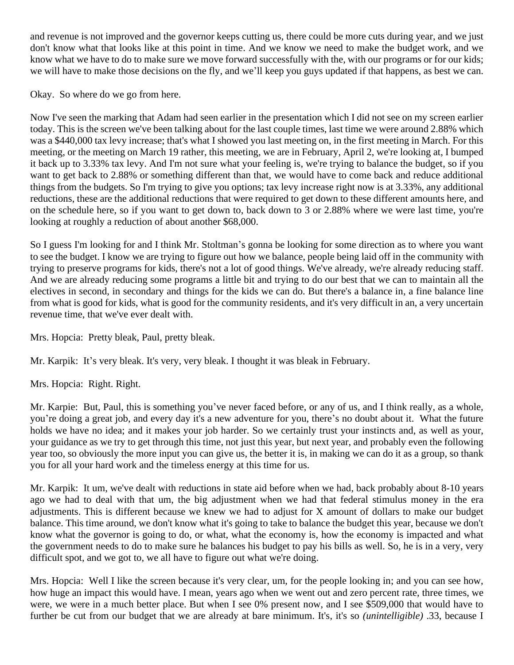and revenue is not improved and the governor keeps cutting us, there could be more cuts during year, and we just don't know what that looks like at this point in time. And we know we need to make the budget work, and we know what we have to do to make sure we move forward successfully with the, with our programs or for our kids; we will have to make those decisions on the fly, and we'll keep you guys updated if that happens, as best we can.

Okay. So where do we go from here.

Now I've seen the marking that Adam had seen earlier in the presentation which I did not see on my screen earlier today. This is the screen we've been talking about for the last couple times, last time we were around 2.88% which was a \$440,000 tax levy increase; that's what I showed you last meeting on, in the first meeting in March. For this meeting, or the meeting on March 19 rather, this meeting, we are in February, April 2, we're looking at, I bumped it back up to 3.33% tax levy. And I'm not sure what your feeling is, we're trying to balance the budget, so if you want to get back to 2.88% or something different than that, we would have to come back and reduce additional things from the budgets. So I'm trying to give you options; tax levy increase right now is at 3.33%, any additional reductions, these are the additional reductions that were required to get down to these different amounts here, and on the schedule here, so if you want to get down to, back down to 3 or 2.88% where we were last time, you're looking at roughly a reduction of about another \$68,000.

So I guess I'm looking for and I think Mr. Stoltman's gonna be looking for some direction as to where you want to see the budget. I know we are trying to figure out how we balance, people being laid off in the community with trying to preserve programs for kids, there's not a lot of good things. We've already, we're already reducing staff. And we are already reducing some programs a little bit and trying to do our best that we can to maintain all the electives in second, in secondary and things for the kids we can do. But there's a balance in, a fine balance line from what is good for kids, what is good for the community residents, and it's very difficult in an, a very uncertain revenue time, that we've ever dealt with.

Mrs. Hopcia: Pretty bleak, Paul, pretty bleak.

Mr. Karpik: It's very bleak. It's very, very bleak. I thought it was bleak in February.

Mrs. Hopcia: Right. Right.

Mr. Karpie: But, Paul, this is something you've never faced before, or any of us, and I think really, as a whole, you're doing a great job, and every day it's a new adventure for you, there's no doubt about it. What the future holds we have no idea; and it makes your job harder. So we certainly trust your instincts and, as well as your, your guidance as we try to get through this time, not just this year, but next year, and probably even the following year too, so obviously the more input you can give us, the better it is, in making we can do it as a group, so thank you for all your hard work and the timeless energy at this time for us.

Mr. Karpik: It um, we've dealt with reductions in state aid before when we had, back probably about 8-10 years ago we had to deal with that um, the big adjustment when we had that federal stimulus money in the era adjustments. This is different because we knew we had to adjust for X amount of dollars to make our budget balance. This time around, we don't know what it's going to take to balance the budget this year, because we don't know what the governor is going to do, or what, what the economy is, how the economy is impacted and what the government needs to do to make sure he balances his budget to pay his bills as well. So, he is in a very, very difficult spot, and we got to, we all have to figure out what we're doing.

Mrs. Hopcia: Well I like the screen because it's very clear, um, for the people looking in; and you can see how, how huge an impact this would have. I mean, years ago when we went out and zero percent rate, three times, we were, we were in a much better place. But when I see 0% present now, and I see \$509,000 that would have to further be cut from our budget that we are already at bare minimum. It's, it's so *(unintelligible)* .33, because I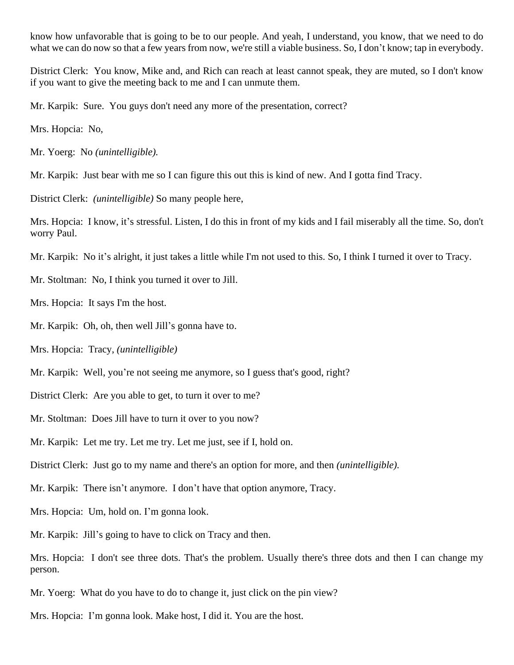know how unfavorable that is going to be to our people. And yeah, I understand, you know, that we need to do what we can do now so that a few years from now, we're still a viable business. So, I don't know; tap in everybody.

District Clerk: You know, Mike and, and Rich can reach at least cannot speak, they are muted, so I don't know if you want to give the meeting back to me and I can unmute them.

Mr. Karpik: Sure. You guys don't need any more of the presentation, correct?

Mrs. Hopcia: No,

Mr. Yoerg: No *(unintelligible).*

Mr. Karpik: Just bear with me so I can figure this out this is kind of new. And I gotta find Tracy.

District Clerk: *(unintelligible)* So many people here,

Mrs. Hopcia: I know, it's stressful. Listen, I do this in front of my kids and I fail miserably all the time. So, don't worry Paul.

Mr. Karpik: No it's alright, it just takes a little while I'm not used to this. So, I think I turned it over to Tracy.

Mr. Stoltman: No, I think you turned it over to Jill.

Mrs. Hopcia: It says I'm the host.

Mr. Karpik: Oh, oh, then well Jill's gonna have to.

Mrs. Hopcia: Tracy, *(unintelligible)*

Mr. Karpik: Well, you're not seeing me anymore, so I guess that's good, right?

District Clerk: Are you able to get, to turn it over to me?

Mr. Stoltman: Does Jill have to turn it over to you now?

Mr. Karpik: Let me try. Let me try. Let me just, see if I, hold on.

District Clerk: Just go to my name and there's an option for more, and then *(unintelligible).*

Mr. Karpik: There isn't anymore. I don't have that option anymore, Tracy.

Mrs. Hopcia: Um, hold on. I'm gonna look.

Mr. Karpik: Jill's going to have to click on Tracy and then.

Mrs. Hopcia: I don't see three dots. That's the problem. Usually there's three dots and then I can change my person.

Mr. Yoerg: What do you have to do to change it, just click on the pin view?

Mrs. Hopcia: I'm gonna look. Make host, I did it. You are the host.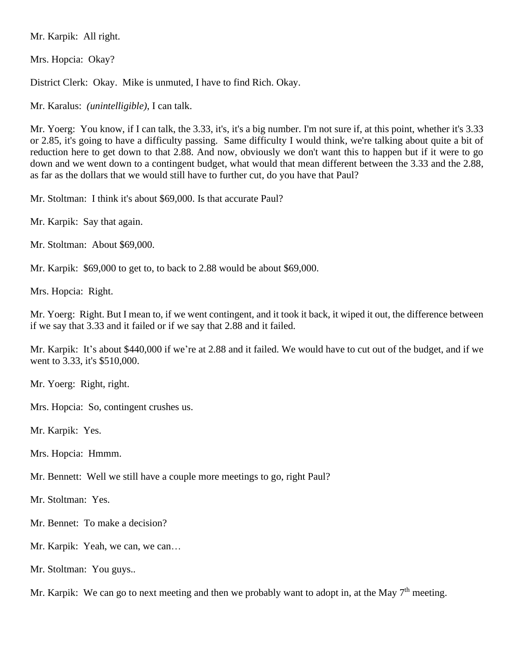Mr. Karpik: All right.

Mrs. Hopcia: Okay?

District Clerk: Okay. Mike is unmuted, I have to find Rich. Okay.

Mr. Karalus: *(unintelligible)*, I can talk.

Mr. Yoerg: You know, if I can talk, the 3.33, it's, it's a big number. I'm not sure if, at this point, whether it's 3.33 or 2.85, it's going to have a difficulty passing. Same difficulty I would think, we're talking about quite a bit of reduction here to get down to that 2.88. And now, obviously we don't want this to happen but if it were to go down and we went down to a contingent budget, what would that mean different between the 3.33 and the 2.88, as far as the dollars that we would still have to further cut, do you have that Paul?

Mr. Stoltman: I think it's about \$69,000. Is that accurate Paul?

Mr. Karpik: Say that again.

Mr. Stoltman: About \$69,000.

Mr. Karpik: \$69,000 to get to, to back to 2.88 would be about \$69,000.

Mrs. Hopcia: Right.

Mr. Yoerg: Right. But I mean to, if we went contingent, and it took it back, it wiped it out, the difference between if we say that 3.33 and it failed or if we say that 2.88 and it failed.

Mr. Karpik: It's about \$440,000 if we're at 2.88 and it failed. We would have to cut out of the budget, and if we went to 3.33, it's \$510,000.

Mr. Yoerg: Right, right.

Mrs. Hopcia: So, contingent crushes us.

Mr. Karpik: Yes.

Mrs. Hopcia: Hmmm.

Mr. Bennett: Well we still have a couple more meetings to go, right Paul?

Mr. Stoltman: Yes.

Mr. Bennet: To make a decision?

Mr. Karpik: Yeah, we can, we can…

Mr. Stoltman: You guys..

Mr. Karpik: We can go to next meeting and then we probably want to adopt in, at the May  $7<sup>th</sup>$  meeting.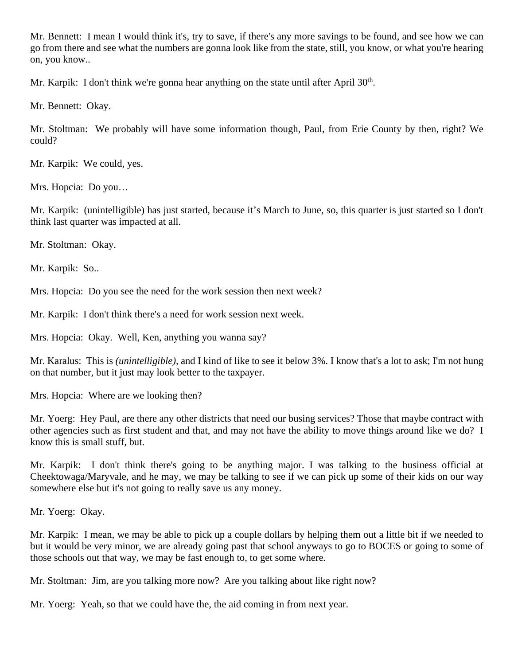Mr. Bennett: I mean I would think it's, try to save, if there's any more savings to be found, and see how we can go from there and see what the numbers are gonna look like from the state, still, you know, or what you're hearing on, you know..

Mr. Karpik: I don't think we're gonna hear anything on the state until after April 30<sup>th</sup>.

Mr. Bennett: Okay.

Mr. Stoltman: We probably will have some information though, Paul, from Erie County by then, right? We could?

Mr. Karpik: We could, yes.

Mrs. Hopcia: Do you…

Mr. Karpik: (unintelligible) has just started, because it's March to June, so, this quarter is just started so I don't think last quarter was impacted at all.

Mr. Stoltman: Okay.

Mr. Karpik: So..

Mrs. Hopcia: Do you see the need for the work session then next week?

Mr. Karpik: I don't think there's a need for work session next week.

Mrs. Hopcia: Okay. Well, Ken, anything you wanna say?

Mr. Karalus: This is *(unintelligible),* and I kind of like to see it below 3%. I know that's a lot to ask; I'm not hung on that number, but it just may look better to the taxpayer.

Mrs. Hopcia: Where are we looking then?

Mr. Yoerg: Hey Paul, are there any other districts that need our busing services? Those that maybe contract with other agencies such as first student and that, and may not have the ability to move things around like we do? I know this is small stuff, but.

Mr. Karpik: I don't think there's going to be anything major. I was talking to the business official at Cheektowaga/Maryvale, and he may, we may be talking to see if we can pick up some of their kids on our way somewhere else but it's not going to really save us any money.

Mr. Yoerg: Okay.

Mr. Karpik: I mean, we may be able to pick up a couple dollars by helping them out a little bit if we needed to but it would be very minor, we are already going past that school anyways to go to BOCES or going to some of those schools out that way, we may be fast enough to, to get some where.

Mr. Stoltman: Jim, are you talking more now? Are you talking about like right now?

Mr. Yoerg: Yeah, so that we could have the, the aid coming in from next year.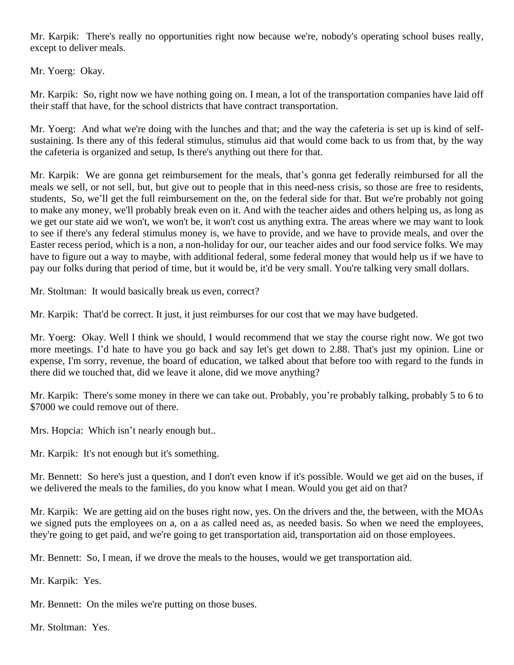Mr. Karpik: There's really no opportunities right now because we're, nobody's operating school buses really, except to deliver meals.

Mr. Yoerg: Okay.

Mr. Karpik: So, right now we have nothing going on. I mean, a lot of the transportation companies have laid off their staff that have, for the school districts that have contract transportation.

Mr. Yoerg: And what we're doing with the lunches and that; and the way the cafeteria is set up is kind of selfsustaining. Is there any of this federal stimulus, stimulus aid that would come back to us from that, by the way the cafeteria is organized and setup, Is there's anything out there for that.

Mr. Karpik: We are gonna get reimbursement for the meals, that's gonna get federally reimbursed for all the meals we sell, or not sell, but, but give out to people that in this need-ness crisis, so those are free to residents, students, So, we'll get the full reimbursement on the, on the federal side for that. But we're probably not going to make any money, we'll probably break even on it. And with the teacher aides and others helping us, as long as we get our state aid we won't, we won't be, it won't cost us anything extra. The areas where we may want to look to see if there's any federal stimulus money is, we have to provide, and we have to provide meals, and over the Easter recess period, which is a non, a non-holiday for our, our teacher aides and our food service folks. We may have to figure out a way to maybe, with additional federal, some federal money that would help us if we have to pay our folks during that period of time, but it would be, it'd be very small. You're talking very small dollars.

Mr. Stoltman: It would basically break us even, correct?

Mr. Karpik: That'd be correct. It just, it just reimburses for our cost that we may have budgeted.

Mr. Yoerg: Okay. Well I think we should, I would recommend that we stay the course right now. We got two more meetings. I'd hate to have you go back and say let's get down to 2.88. That's just my opinion. Line or expense, I'm sorry, revenue, the board of education, we talked about that before too with regard to the funds in there did we touched that, did we leave it alone, did we move anything?

Mr. Karpik: There's some money in there we can take out. Probably, you're probably talking, probably 5 to 6 to \$7000 we could remove out of there.

Mrs. Hopcia: Which isn't nearly enough but..

Mr. Karpik: It's not enough but it's something.

Mr. Bennett: So here's just a question, and I don't even know if it's possible. Would we get aid on the buses, if we delivered the meals to the families, do you know what I mean. Would you get aid on that?

Mr. Karpik: We are getting aid on the buses right now, yes. On the drivers and the, the between, with the MOAs we signed puts the employees on a, on a as called need as, as needed basis. So when we need the employees, they're going to get paid, and we're going to get transportation aid, transportation aid on those employees.

Mr. Bennett: So, I mean, if we drove the meals to the houses, would we get transportation aid.

Mr. Karpik: Yes.

Mr. Bennett: On the miles we're putting on those buses.

Mr. Stoltman: Yes.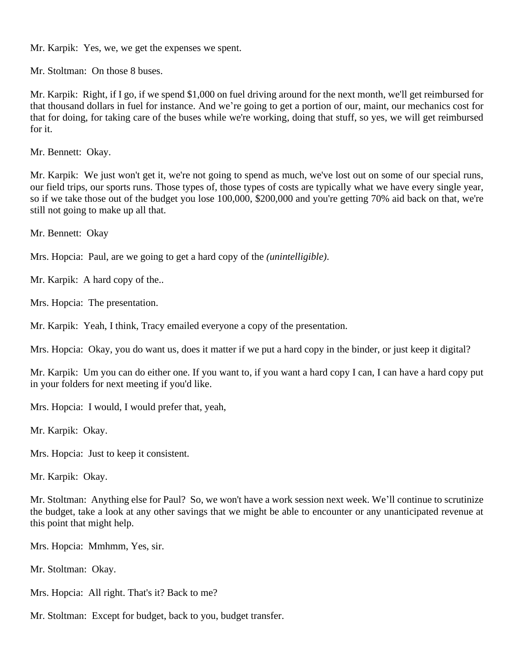Mr. Karpik: Yes, we, we get the expenses we spent.

Mr. Stoltman: On those 8 buses.

Mr. Karpik: Right, if I go, if we spend \$1,000 on fuel driving around for the next month, we'll get reimbursed for that thousand dollars in fuel for instance. And we're going to get a portion of our, maint, our mechanics cost for that for doing, for taking care of the buses while we're working, doing that stuff, so yes, we will get reimbursed for it.

Mr. Bennett: Okay.

Mr. Karpik: We just won't get it, we're not going to spend as much, we've lost out on some of our special runs, our field trips, our sports runs. Those types of, those types of costs are typically what we have every single year, so if we take those out of the budget you lose 100,000, \$200,000 and you're getting 70% aid back on that, we're still not going to make up all that.

Mr. Bennett: Okay

Mrs. Hopcia: Paul, are we going to get a hard copy of the *(unintelligible)*.

Mr. Karpik: A hard copy of the..

Mrs. Hopcia: The presentation.

Mr. Karpik: Yeah, I think, Tracy emailed everyone a copy of the presentation.

Mrs. Hopcia: Okay, you do want us, does it matter if we put a hard copy in the binder, or just keep it digital?

Mr. Karpik: Um you can do either one. If you want to, if you want a hard copy I can, I can have a hard copy put in your folders for next meeting if you'd like.

Mrs. Hopcia: I would, I would prefer that, yeah,

Mr. Karpik: Okay.

Mrs. Hopcia: Just to keep it consistent.

Mr. Karpik: Okay.

Mr. Stoltman: Anything else for Paul? So, we won't have a work session next week. We'll continue to scrutinize the budget, take a look at any other savings that we might be able to encounter or any unanticipated revenue at this point that might help.

Mrs. Hopcia: Mmhmm, Yes, sir.

Mr. Stoltman: Okay.

Mrs. Hopcia: All right. That's it? Back to me?

Mr. Stoltman: Except for budget, back to you, budget transfer.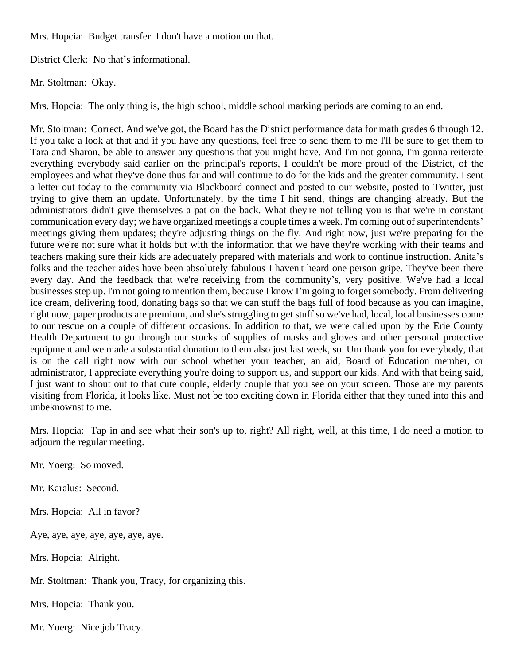Mrs. Hopcia: Budget transfer. I don't have a motion on that.

District Clerk: No that's informational.

Mr. Stoltman: Okay.

Mrs. Hopcia: The only thing is, the high school, middle school marking periods are coming to an end.

Mr. Stoltman: Correct. And we've got, the Board has the District performance data for math grades 6 through 12. If you take a look at that and if you have any questions, feel free to send them to me I'll be sure to get them to Tara and Sharon, be able to answer any questions that you might have. And I'm not gonna, I'm gonna reiterate everything everybody said earlier on the principal's reports, I couldn't be more proud of the District, of the employees and what they've done thus far and will continue to do for the kids and the greater community. I sent a letter out today to the community via Blackboard connect and posted to our website, posted to Twitter, just trying to give them an update. Unfortunately, by the time I hit send, things are changing already. But the administrators didn't give themselves a pat on the back. What they're not telling you is that we're in constant communication every day; we have organized meetings a couple times a week. I'm coming out of superintendents' meetings giving them updates; they're adjusting things on the fly. And right now, just we're preparing for the future we're not sure what it holds but with the information that we have they're working with their teams and teachers making sure their kids are adequately prepared with materials and work to continue instruction. Anita's folks and the teacher aides have been absolutely fabulous I haven't heard one person gripe. They've been there every day. And the feedback that we're receiving from the community's, very positive. We've had a local businesses step up. I'm not going to mention them, because I know I'm going to forget somebody. From delivering ice cream, delivering food, donating bags so that we can stuff the bags full of food because as you can imagine, right now, paper products are premium, and she's struggling to get stuff so we've had, local, local businesses come to our rescue on a couple of different occasions. In addition to that, we were called upon by the Erie County Health Department to go through our stocks of supplies of masks and gloves and other personal protective equipment and we made a substantial donation to them also just last week, so. Um thank you for everybody, that is on the call right now with our school whether your teacher, an aid, Board of Education member, or administrator, I appreciate everything you're doing to support us, and support our kids. And with that being said, I just want to shout out to that cute couple, elderly couple that you see on your screen. Those are my parents visiting from Florida, it looks like. Must not be too exciting down in Florida either that they tuned into this and unbeknownst to me.

Mrs. Hopcia: Tap in and see what their son's up to, right? All right, well, at this time, I do need a motion to adjourn the regular meeting.

Mr. Yoerg: So moved.

Mr. Karalus: Second.

Mrs. Hopcia: All in favor?

Aye, aye, aye, aye, aye, aye, aye.

Mrs. Hopcia: Alright.

Mr. Stoltman: Thank you, Tracy, for organizing this.

Mrs. Hopcia: Thank you.

Mr. Yoerg: Nice job Tracy.